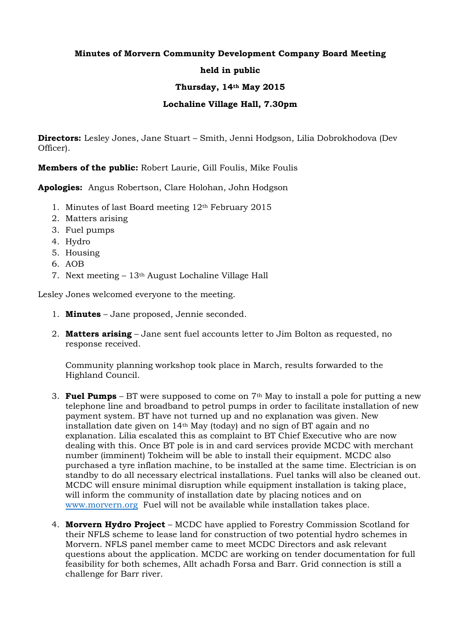## **Minutes of Morvern Community Development Company Board Meeting held in public Thursday, 14th May 2015 Lochaline Village Hall, 7.30pm**

**Directors:** Lesley Jones, Jane Stuart – Smith, Jenni Hodgson, Lilia Dobrokhodova (Dev Officer).

**Members of the public:** Robert Laurie, Gill Foulis, Mike Foulis

**Apologies:** Angus Robertson, Clare Holohan, John Hodgson

- 1. Minutes of last Board meeting 12th February 2015
- 2. Matters arising
- 3. Fuel pumps
- 4. Hydro
- 5. Housing
- 6. AOB
- 7. Next meeting 13th August Lochaline Village Hall

Lesley Jones welcomed everyone to the meeting.

- 1. **Minutes** Jane proposed, Jennie seconded.
- 2. **Matters arising** Jane sent fuel accounts letter to Jim Bolton as requested, no response received.

Community planning workshop took place in March, results forwarded to the Highland Council.

- 3. **Fuel Pumps** BT were supposed to come on 7th May to install a pole for putting a new telephone line and broadband to petrol pumps in order to facilitate installation of new payment system. BT have not turned up and no explanation was given. New installation date given on 14th May (today) and no sign of BT again and no explanation. Lilia escalated this as complaint to BT Chief Executive who are now dealing with this. Once BT pole is in and card services provide MCDC with merchant number (imminent) Tokheim will be able to install their equipment. MCDC also purchased a tyre inflation machine, to be installed at the same time. Electrician is on standby to do all necessary electrical installations. Fuel tanks will also be cleaned out. MCDC will ensure minimal disruption while equipment installation is taking place, will inform the community of installation date by placing notices and on [www.morvern.org](http://www.morvern.org/) Fuel will not be available while installation takes place.
- 4. **Morvern Hydro Project** MCDC have applied to Forestry Commission Scotland for their NFLS scheme to lease land for construction of two potential hydro schemes in Morvern. NFLS panel member came to meet MCDC Directors and ask relevant questions about the application. MCDC are working on tender documentation for full feasibility for both schemes, Allt achadh Forsa and Barr. Grid connection is still a challenge for Barr river.